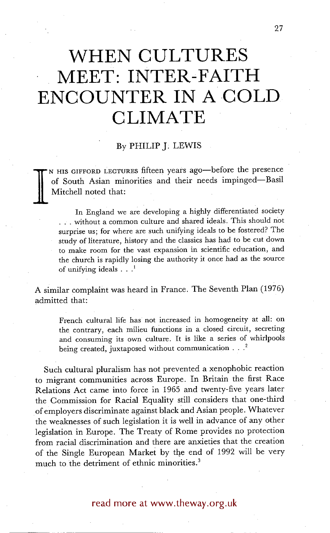# **WHEN CULTURES MEET: INTER-FAITH ENCOUNTER IN A COLD CLIMATE**

## By PHILIP J: LEWIS

**I**  N HIS GIFFORD LECTURES fifteen years ago-before the presence of South Asian minorities and their needs impinged--Basil Mitchell noted that:

In England we are developing a highly differentiated society • .. without a common culture and shared ideals. This should not surprise us; for where are such unifying ideals to be fostered? The study of literature, history and the classics has had to be cut down to make room for the vast expansion in scientific education, and the church is rapidly losing the authority it once had as the source of unifying ideals  $\ldots$ <sup>1</sup>

A similar complaint was heard in France. The Seventh Plan (1976) admitted that:

French cultural life has not increased in homogeneity at all: on the contrary, each milieu functions in a closed circuit, secreting and consuming its own culture. It is like a series of whirlpools being created, juxtaposed without communication  $\ldots$ <sup>2</sup>

Such cultural pluralism has not prevented a xenophobic reaction to migrant communities across Europe. In Britain the first Race Relations Act came into force in 1965 and twenty-five years later the Commission for Racial Equality still considers that one-third of employers discriminate against black and Asian people. Whatever the weaknesses of such legislation it is well in advance of any other legislation in Europe. The Treaty of Rome provides no protection from racial discrimination and there are anxieties that the creation of the Single European Market by the end of 1992 will be very much to the detriment of ethnic minorities.<sup>3</sup>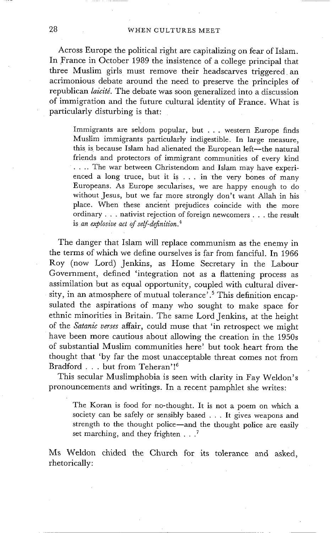#### 28 WHEN CULTURES MEET

Across Europe the political right are capitalizing on fear of Islam. In France in October 1989 the insistence of a college principal that three Muslim girls must remove their headscarves triggered an acrimonious debate around the need to preserve the principles of republican *laicité*. The debate was soon generalized into a discussion of immigration and the future cultural identity of France. What is particularly disturbing is that:

Immigrants are seldom popular, but ... western Europe finds Muslim immigrants particularly indigestible. In large measure, this is because Islam had alienated the European left--the natural friends and protectors of immigrant communities of every kind .... The war between Christendom and Islam may have experienced a long truce, but it is . . . in the very bones of many Europeans. As Europe secularises, we are happy enough to do without Jesus, but we far more strongly don't want Allah in his place. When these ancient prejudices coincide with the more ordinary.., nativist rejection of foreign newcomers . . . the result is *an explosive act of self-definition. 4* 

The danger that Islam will replace communism as the enemy in the terms of which we define ourselves is far from fanciful. In 1966 Roy (now Lord) Jenkins, as Home Secretary in the Labour Government, defined 'integration not as a flattening process as assimilation but as equal opportunity, coupled with cultural diversity, in an atmosphere of mutual tolerance'.<sup>5</sup> This definition encapsulated the aspirations of many who sought to make space for ethnic minorities in Britain. The same Lord Jenkins, at the height of the *Satanic verses* affair, could muse that 'in retrospect we might have been more cautious about allowing the creation in the 1950s of substantial Muslim communities here' but took heart from the thought that 'by far the most unacceptable threat comes not from Bradford . . . but from Teheran'!6

This secular Muslimphobia is seen with clarity in Fay Weldon's pronouncements and writings. In a recent pamphlet she writes:

The Koran is food for no-thought. It is not a poem on which a society can be safely or sensibly based . . . It gives weapons and strength to the thought police—and the thought police are easily set marching, and they frighten  $\ldots$ .

Ms Weldon chided the Church for its tolerance and asked, rhetorically: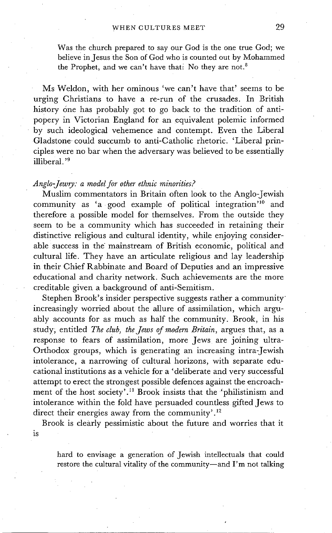Was the church prepared to say our God is the one true God; we believe in Jesus the Son of God who is counted out by Mohammed the Prophet, and we can't have thati No they are not.<sup>8</sup>

Ms Weldon, with her ominous 'we can't have that' seems to be urging Christians to have a re-run of the crusades. In British history one has probably got to go back to the tradition of antipopery in Victorian England for an equivalent polemic informed by such ideological vehemence and contempt. Even the Liberal Gladstone could succumb to anti-Catholic rhetoric. 'Liberal principles were no bar when the adversary was believed to be essentially illiberal.'<sup>9</sup>

#### *Anglo-Jewry: a model for other ethnic minorities?*

Muslim commentators in Britain often look to the Anglo-Jewish community as 'a good example of political integration $i^{10}$  and therefore a possible model for themselves. From the outside they seem to be a community which has succeeded in retaining their distinctive religious and cultural identity, while enjoying considerable success in the mainstream of British economic, political and cultural life. They have an articulate religious and lay leadership in their Chief Rabbinate and Board of Deputies and an impressive educational and charity network. Such achievements are the more creditable given a background of anti-Semitism.

Stephen Brook's insider perspective suggests rather a community increasingly worried about the allure of assimilation, which arguably accounts for as much as half the community. Brook, in his study; entitled *The club, the Jews of modern Britain,* argues that, as a response to fears of assimilation, more Jews are joining ultra-Orthodox groups, which is generating an increasing intra-Jewish intolerance, a narrowing of cultural horizons, with separate educational institutions as a vehicle for a 'deliberate and very successful attempt to erect the strongest possible defences against the encroachment of the host society'.<sup>11</sup> Brook insists that the 'philistinism and intolerance within the fold have persuaded countless gifted Jews to direct their energies away from the community'.<sup>12</sup>

Brook is clearly pessimistic about the future and worries that it is

hard to envisage a generation of Jewish intellectuals that could restore the cultural vitality of the community-and I'm not talking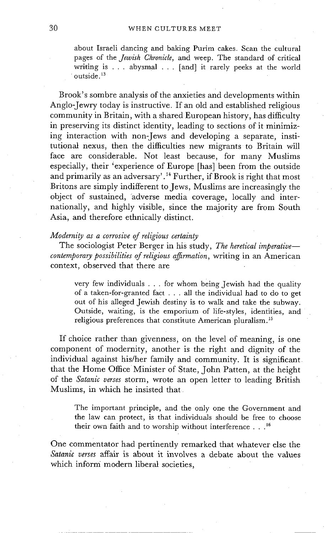about Israeli dancing and baking Purim cakes. Scan the cultural pages of the *Jewish Chronicle,* and weep. The standard of critical writing is ... abysmal . .. [and] it rarely peeks at the world outside. 13

Brook's sombre analysis of the anxieties and developments within Anglo-Jewry today is instructive. If an old and established religious community in Britain, with a shared European history, has difficulty in preserving its distinct identity, leading to sections of it minimizing interaction with non-Jews and developing a separate, institutional nexus, then the difficulties new migrants to Britain will face are considerable. Not least because, for many Muslims especially, their 'experience of Europe [has] been from the outside and primarily as an adversary'.<sup>14</sup> Further, if Brook is right that most Britons are simply indifferent to Jews, Muslims are increasingly the object of sustained, adverse media coverage, locally and internationally, and highly visible, since the majority are from South Asia, and therefore ethnically distinct.

#### *Modernity as a corrosive of religious certainty*

The sociologist Peter Berger in his study, *The heretical imperative contemporary possibilities of religious affirmation, writing in an American* context, observed that there are

very few individuals . . . for whom being Jewish had the quality of a taken-for-granted fact . . . all the individual had to do to get out of his alleged Jewish destiny is to walk and take the subway. Outside, waiting, is the emporium of life-styles, identities, and religious preferences that constitute American pluralism. 15

If choice rather than givenness, on the level of meaning, is one component of modernity, another is the right and dignity of the individual against his/her family and community. It is significant that the Home Office Minister of State, John Patten, at the height of the *Satanic verses* storm, wrote an open letter to leading British Muslims, in which he insisted that

The important principle, and the only one the Government and the law can protect, is that individuals should be free to choose their own faith and to worship without interference . . .16

One commentator had pertinently remarked that whatever else the *Satanic verses* affair is about it involves a debate about the values which inform modern liberal societies,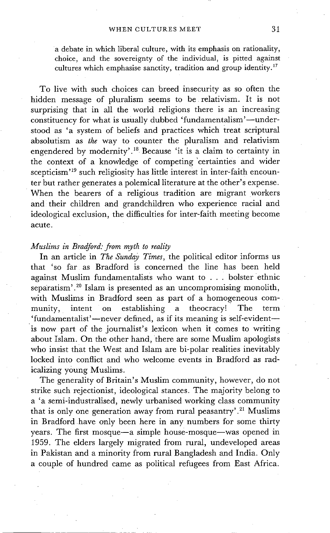a debate in which liberal culture, with its emphasis on rationality, choice, and the sovereignty of the individual, is pitted against cultures which emphasise sanctity, tradition and group identity.<sup>17</sup>

To live with such choices can breed insecurity as so often the hidden message of pluralism seems to be relativism. It is not surprising that in all the world religions there is an increasing constituency for what is usually dubbed 'fundamentalism'—understood as 'a system of beliefs and practices which treat scriptural absolutism as *the* way to counter the pluralism and relativism engendered by modernity'. 18 Because 'it is a claim to certainty in the context of a knowledge of competing 'certainties and wider scepticism<sup>'19</sup> such religiosity has little interest in inter-faith encounter but rather generates a polemical literature at the other's expense. When the bearers of a religious tradition are migrant workers and their children and grandchildren who experience racial and ideological exclusion, the difficulties for inter-faith meeting become acute.

### *Muslims in Bradford." from myth to reality*

In an article in *The Sunday Times,* the political editor informs us that 'so far as Bradford is concerned the line has been held against Muslim fundamentalists who want to . . . bolster ethnic separatism'.<sup>20</sup> Islam is presented as an uncompromising monolith, with Muslims in Bradford seen as part of a homogeneous community, intent on establishing a theocracy! The term 'fundamentalist'—never defined, as if its meaning is self-evident— 'is now part of the journalist's lexicon when it comes to writing about Islam. On the other hand, there are some Muslim apologists who insist that the West and Islam are bi-polar realities inevitably locked into conflict and who welcome events in Bradford as radicalizing young Muslims.

The generality of Britain's Muslim community, however, do not strike such rejectionist, ideological stances. The majority belong to a 'a semi-industralised, newly urbanised working class community that is only one generation away from rural peasantry'.<sup>21</sup> Muslims in Bradford have only been here in any numbers for some thirty years. The first mosque-a simple house-mosque--was opened in 1959. The elders largely migrated from rural, undeveloped areas in Pakistan and a minority from rural Bangladesh and India. Only a couple of hundred came as political refugees from East Africa.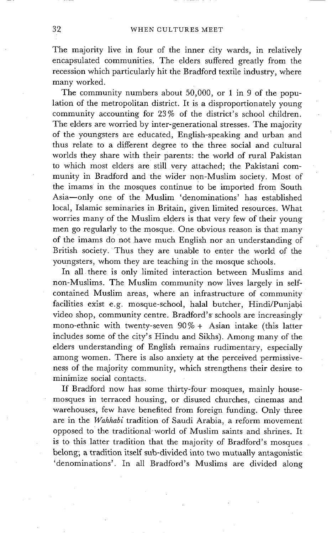The majority live in four of the inner city wards, in relatively encapsulated communities. The elders suffered greatly from the recession which particularly hit the Bradford textile industry, where many worked.

The community numbers about 50,000, or 1 in 9 of the population of the metropolitan district. It is a disproportionately young community accounting for 23% of the district's school children. The elders are worried by inter-generational stresses. The majority of the youngsters are educated, English-speaking and urban and thus relate to a different degree to the three social and cultural worlds they share with their parents: the world of rural Pakistan to which most elders are still very attached; the Pakistani community in Bradford and the wider non-Muslim society. Most of the imams in the mosques continue to be imported from South Asia--only one of the Muslim 'denominations' has established local, Islamic seminaries in Britain, given limited resources. What worries many of the Muslim elders is that very few of their young men go regularly to the mosque. One obvious reason is that many of the imams do not have much English nor an understanding of British society. Thus they are unable to enter the world of the youngsters, whom they are teaching in the mosque schools.

In all there is only limited interaction between Muslims and non-Muslims. The Muslim community now lives largely in selfcontained Muslim areas, where an infrastructure of community facilities exist e.g. mosque-school, halal butcher, Hindi/Punjabi video shop, community centre. Bradford's schools are increasingly mono-ethnic with twenty-seven 90% + Asian intake (this latter includes some of the city's Hindu and Sikhs). Among many of the elders understanding of English remains rudimentary, especially among women. There is also anxiety at the perceived permissiveness of the majority community, which strengthens their desire to minimize social contacts.

If Bradford now has some thirty-four mosques, mainly housemosques in terraced housing, or disused churches, cinemas and warehouses, few have benefited from foreign funding. Only three are in the *Wahhabi* tradition of Saudi Arabia, a reform movement opposed to the traditional world of Muslim saints and shrines. It is to this latter tradition that the majority of Bradford's mosques belong; a tradition itself sub-divided into two mutually antagonistic ~denominations'. In all Bradford's Muslims are divided along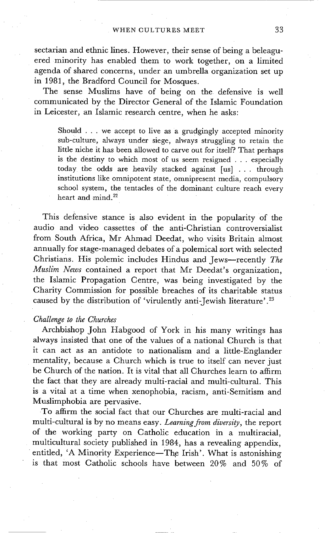sectarian and ethnic lines. However, their sense of being a beleaguered minority has enabled them to work together, on a limited agenda of shared concerns, under an umbrella organization set up in 1981, the Bradford Council for Mosques.

The sense Muslims have of being on the defensive is well communicated by the Director General of the Islamic Foundation in Leicester, an Islamic research centre, when he asks:

Should . . . we accept to live as a grudgingly accepted minority sub-culture, always under siege, always struggling to retain the little niche it has been allowed to carve out for itself? That perhaps is the destiny to which most of us seem resigned . . . especially today the odds are heavily stacked against [us] ... through institutions like omnipotent state, omnipresent media, compulsory school system, the tentacles of the dominant culture reach every heart and mind.<sup>22</sup>

This defensive stance is also evident in the popularity of the audio and Video cassettes of the anti-Christian controversialist from South Africa, Mr Ahmad Deedat, who visits Britain almost annually for stage-managed debates of a polemical sort with selected Christians. His polemic includes Hindus and Jews--recently *The Muslim News* contained a report that Mr Deedat's organization, the Islamic Propagation Centre, was being investigated by the Charity Commission for possible breaches of its charitable status caused by the distribution of 'virulently anti-Jewish literature'. 23

#### *Challenge to the Churches*

Archbishop John Habgood of York in his many writings has always insisted that one of the values of a national Church is that it can act as an antidote to nationalism and a little-Englander mentality, because a Church which is true to itself can never just be Church of the nation. It is vital that all Churches learn to affirm the fact that they are already multi-racial and multi-cultural. This is a vital at a time when xenophobia, racism, anti-Semitism and Muslimphobia are pervasive.

To affirm the social fact that our Churches are multi-racial and multi-cultural is by no means easy. *Learning from diversity,* the report of the working party on Catholic education in a multiracial, multicultural society published in 1984, has a revealing appendix, entitled, 'A Minority Experience-The Irish'. What is astonishing is that most Catholic schools have between 20% and 50% of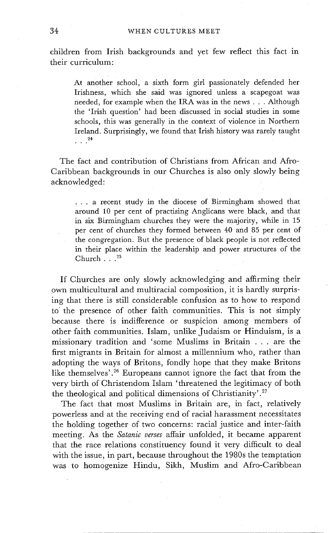children from Irish backgrounds and yet few reflect this fact in their curriculum:

At another school, a sixth form girl passionately defended her Irishness, which she said was ignored unless a scapegoat was needed, for example when the IRA was in the news . . . Although the 'Irish question' had been discussed in social studies in some schools, this was generally in the context of violence in Northern Ireland. Surprisingly, we found that Irish history was rarely taught  $\cdot$   $^{24}$ 

The fact and contribution of Christians from African and Afro-Caribbean backgrounds in our Churches is also only slowly being acknowledged:

**• . .** a recent study in the diocese of Birmingham showed that around 10 per cent of practising Anglicans were black, and that in six Birmingham churches they were the majority, while in 15 per cent of churches they formed between 40 and 85 per cent of the congregation. But the presence of black people is not reflected in their place within the leadership and power structures of the Church  $\ldots^{25}$ 

If Churches are only slowly acknowledging and affirming their own multicultural and multiracial composition, it is hardly surprising that there is still considerable confusion as to how to respond to the presence of other faith communities. This is not simply because there is indifference or suspicion among members of other faith communities. Islam, unlike Judaism or Hinduism, is a missionary tradition and 'some Muslims in Britain ... are the first migrants in Britain for almost a millennium who, rather than adopting the ways of Britons, fondly hope that they make Britons like themselves'.<sup>26</sup> Europeans cannot ignore the fact that from the very birth of Christendom Islam 'threatened the legitimacy of both the theological and political dimensions of Christianity'. 27

The fact that most Muslims in Britain are, in fact, relatively powerless and at the receiving end of racial harassment necessitates the holding together of two concerns: racial justice and inter-faith meeting. As the *Satanic verses* affair unfolded, it became apparent that the race relations constituency found it very difficult to deal with the issue, in part, because throughout the 1980s the temptation was to homogenize Hindu, Sikh, Muslim and Afro-Caribbean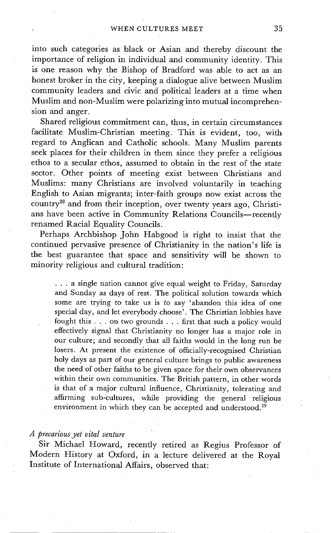into such categories as black or Asian and thereby discount the importance of religion in individual and community identity. This is one reason why the Bishop of Bradford was able to act as an honest broker in the city, keeping a dialogue alive between Muslim community leaders and civic and political leaders at a time when Muslim and non-Muslim were polarizing into mutual incomprehension and anger.

Shared religious commitment can, thus, in certain circumstances facilitate Muslim-Christian meeting. This is evident, too, with regard to Anglican and Catholic schools. Many Muslim parents seek places for their children in them since they prefer a religious ethos to a secular ethos, assumed to obtain in the rest of the state sector. Other points of meeting exist between Christians and Muslims: many Christians are involved voluntarily in teaching English to Asian migrants; inter-faith groups now exist across the country<sup>28</sup> and from their inception, over twenty years ago, Christians have been active in Community Relations Councils-recently renamed Racial Equality Councils.

Perhaps Archbishop John Habgood is right to insist that the continued pervasive presence of Christianity in the nation's life is the best guarantee that space and sensitivity will be shown to minority religious and cultural tradition:

**• . .** a single nation cannot give equal weight to Friday, Saturday and Sunday as days of rest. The political solution towards which some are trying to take us is to say 'abandon this idea of one special day, and let everybody choose'. The Christian lobbies have fought this . . . on two grounds . . . first that such a policy would effectively signal that Christianity no longer has a major role in our culture; and secondly that all faiths would in the long run be losers. At present the existence of officially-recognised Christian holy days as part of our general culture brings to public awareness the need of other faiths to be given space for their own observances within their own communities. The British pattern, in other words is that of a major cultural influence, Christianity, tolerating and affirming sub-cultures, while providing the general religious environment in which they can be accepted and understood.<sup>29</sup>

### *A precarious yet vital venture*

Sir Michael Howard, recently retired as Regius Professor of Modern History at Oxford, in a lecture delivered at the Royal Institute of International Affairs, observed that: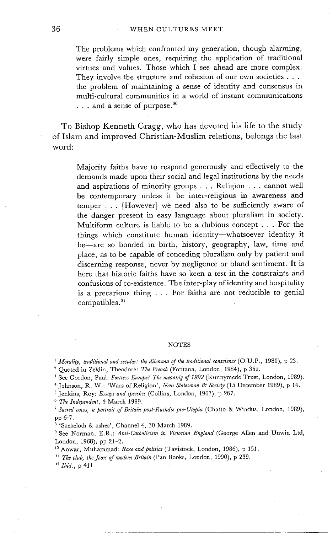#### 36 WHEN CULTURES MEET

The problems which confronted my generation, though alarming, were fairly simple ones, requiring the application of traditional virtues and values. Those which I see ahead are more complex. They involve the structure and cohesion of our own societies . . . the problem of maintaining a sense of identity and consensus in multi-cultural communities in a world of instant communications  $\ldots$  and a sense of purpose.<sup>30</sup>

To Bishop Kenneth Cragg, who has devoted his life to the study of Islam and improved Christian-Muslim relations, belongs the last word:

Majority faiths have to respond generously and effectively to the demands made upon their social and legal institutions by the needs and aspirations of minority groups . . . Religion . . . cannot well be contemporary unless it be inter-religious in awareness and temper . . . [However] we need also to be sufficiently aware of the danger present in easy language about pluralism in society. Multiform culture is liable to be a dubious concept . . . For the things which constitute human identity--whatsoever identity it be-are so bonded in birth, history, geography, law, time and place, as to be capable of conceding pluralism only by patient and discerning response, never by negligence or bland sentiment. It is here that historic faiths have so keen a test in the constraints and confusions of co-existence. The inter-play of identity and hospitality is a precarious thing . . . For faiths are not reducible to genial compatibles. 31

#### NOTES

*I Morality, traditional and secular: the dilemma of the traditional conscience* (O.U.P., 1980), p 23. 2 Quoted in Zeldin, Theodore: *The French* (Fontana, London, 1984), p 362.

<sup>3</sup> See Gordon, Paul: Fortress Europe? The meaning of 1992 (Runnymede Trust, London, 1989).

4 Johnson, R. W.: 'Wars of Religion', *New Statesman & Society* (15 December 1989), p 14.

5 Jenkins, Roy: *Essays and speeches* (Collins, London, 1967), p 267.

*6 The Independent,* 4 March 1989.

*7 Sacred cows, a portrait of Britain post-Rushdie pre-Utopia* (Chatto & Windus, London, 1989), pp 6-7.

8 'Sackcloth & ashes', Channel 4, 30 March 1989.

9 See Norman, E.R.: *Anti-Catholicism in Victorian England* (George Alien and Unwin Ltd, London, 1968), pp 21-2.

l0 Anwar, Muhammad: *Race and politics* (Tavistock, London, 1986), p 151.

*11 The club, the Jews of modern Britain* (Pan Books, London, 1990), p 239.

*12 Ibid.,* p 411.